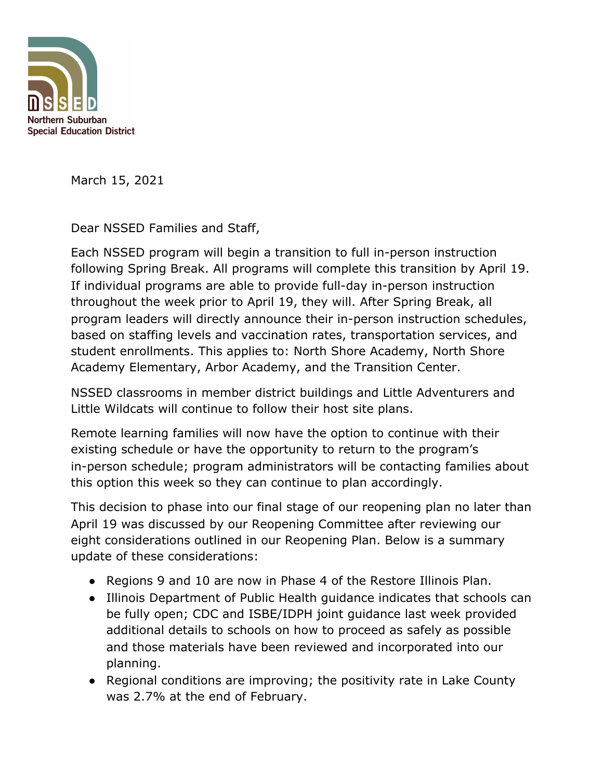

March 15, 2021

Dear NSSED Families and Staff,

Each NSSED program will begin a transition to full in-person instruction following Spring Break. All programs will complete this transition by April 19. If individual programs are able to provide full-day in-person instruction throughout the week prior to April 19, they will. After Spring Break, all program leaders will directly announce their in-person instruction schedules, based on staffing levels and vaccination rates, transportation services, and student enrollments. This applies to: North Shore Academy, North Shore Academy Elementary, Arbor Academy, and the Transition Center.

NSSED classrooms in member district buildings and Little Adventurers and Little Wildcats will continue to follow their host site plans.

Remote learning families will now have the option to continue with their existing schedule or have the opportunity to return to the program's in-person schedule; program administrators will be contacting families about this option this week so they can continue to plan accordingly.

This decision to phase into our final stage of our reopening plan no later than April 19 was discussed by our Reopening Committee after reviewing our eight considerations outlined in our Reopening Plan. Below is a summary update of these considerations:

- Regions 9 and 10 are now in Phase 4 of the Restore Illinois Plan.
- Illinois Department of Public Health guidance indicates that schools can be fully open; CDC and ISBE/IDPH joint guidance last week provided additional details to schools on how to proceed as safely as possible and those materials have been reviewed and incorporated into our planning.
- Regional conditions are improving; the positivity rate in Lake County was 2.7% at the end of February.